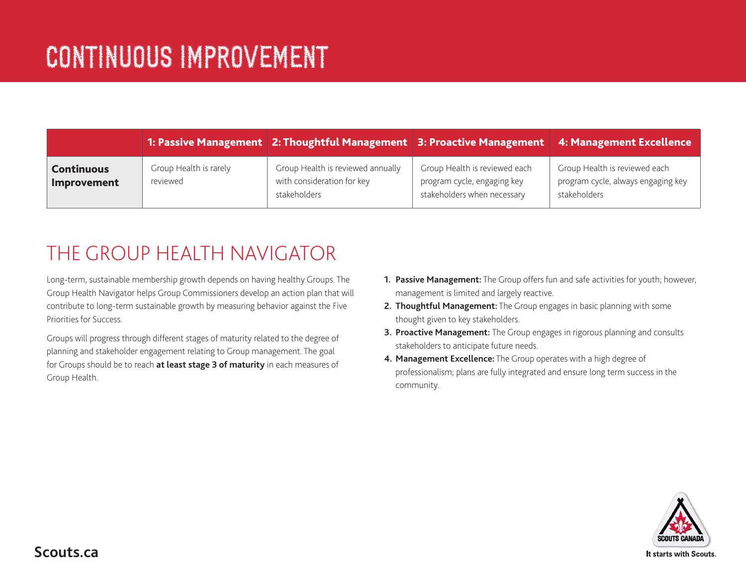|                                  |                                    | 1: Passive Management 2: Thoughtful Management   3: Proactive Management   4: Management Excellence |                                                                                             |                                                                                     |
|----------------------------------|------------------------------------|-----------------------------------------------------------------------------------------------------|---------------------------------------------------------------------------------------------|-------------------------------------------------------------------------------------|
| <b>Continuous</b><br>Improvement | Group Health is rarely<br>reviewed | Group Health is reviewed annually<br>with consideration for key<br>stakeholders                     | Group Health is reviewed each<br>program cycle, engaging key<br>stakeholders when necessary | Group Health is reviewed each<br>program cycle, always engaging key<br>stakeholders |

## THE GROUP HEALTH NAVIGATOR

Long-term, sustainable membership growth depends on having healthy Groups. The Group Health Navigator helps Group Commissioners develop an action plan that will contribute to long-term sustainable growth by measuring behavior against the Five Priorities for Success.

Groups will progress through different stages of maturity related to the degree of planning and stakeholder engagement relating to Group management. The goal for Groups should be to reach **at least stage 3 of maturity** in each measures of Group Health.

- **1. Passive Management:** The Group offers fun and safe activities for youth; however, management is limited and largely reactive.
- **2. Thoughtful Management:** The Group engages in basic planning with some thought given to key stakeholders.
- **3. Proactive Management:** The Group engages in rigorous planning and consults stakeholders to anticipate future needs.
- **4. Management Excellence:** The Group operates with a high degree of professionalism; plans are fully integrated and ensure long term success in the community.